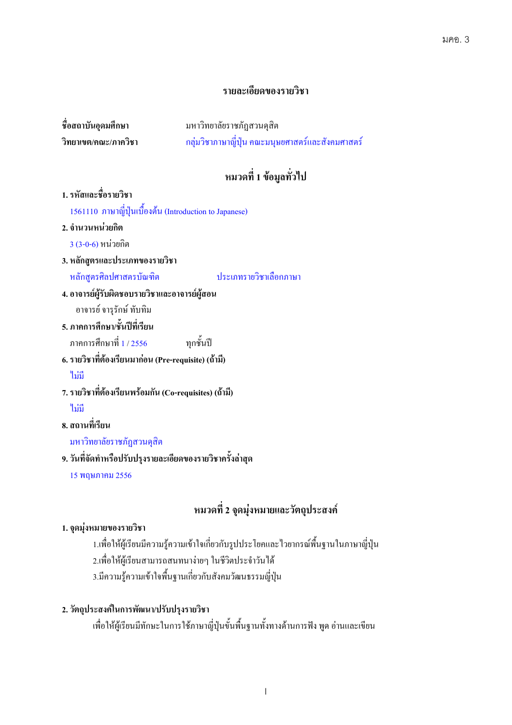# รายละเอียดของรายวิชา

| ชื่อสถาบันอุดมศึกษา  | ม |
|----------------------|---|
| วิทยาเขต/คณะ/ภาควิชา | ก |

หาวิทยาลัยราชภัฏสวนดุสิต กลุ่มวิชาภาษาญี่ปุ่น คณะมนุษยศาสตร์และสังคมศาสตร์

# หมวดที่ 1 ข้อมูลทั่วไป

1. รหัสและชื่อรายวิชา 1561110 ภาษาญี่ปุ่นเบื้องต้น (Introduction to Japanese) 2. จำนวนหน่วยกิต 3 (3-0-6) ก 3. หลักสูตรและประเภทของรายวิชา หลักสูตรศิลปศาสตรบั ำไระเกทรายวิชาเลือกภาษา 4. อาจารย์ผู้รับผิดชอบรายวิชาและอาจารย์ผู้สอน อาจารย์ จารุรักษ์ ทับทิม 5. ภาคการศึกษา/ชั้นปีที่เรียน ภาคการศึกษาที่ 1 / 2556 <sub>ิ</sub>ทกชั้นปี 6. รายวิชาที่ต้องเรียนมาก่อน (Pre-requisite) (ถ้ามี) ้ไม่มี 7. รายวิชาที่ต้องเรียนพร้อมกัน (Co-requisites) (ถ้ามี) <sup>ี</sup> ใม่มี 8. สถานที่เรียน มหาวิทยาลัยราชภัฏสวนดุสิต 9. วันที่จัดทำหรือปรับปรุงรายละเอียดของรายวิชาครั้งล่าสุด 15 พฤษภาคม 2556

# หมวดที่ 2 จุดมุ่งหมายและวัตถุประสงค์

#### 1. จุดมุ่งหมายของรายวิชา

1.เพื่อให้ผู้เรียนมีความรู้ความเข้าใจเกี่ยวกับรูปประโยคและไวยากรณ์พื้นฐานในภาษาญี่ปุ่น 2.เพื่อให้ผู้เรียนสามารถสนทนาง่ายๆ ในชีวิตประจำวันได้ 3.มีความรู้ความเข้าใจพื้นฐานเกี่ยวกับสังคมวัฒนธรรมญี่ปุ่น

### 2. วัตถุประสงค์ในการพัฒนา/ปรับปรุงรายวิชา

เพื่อให้ผู้เรียนมีทักษะในการใช้ภาษาญี่ปุ่นขั้นพื้นฐานทั้งทางด้านการฟัง พูด อ่านและเขียน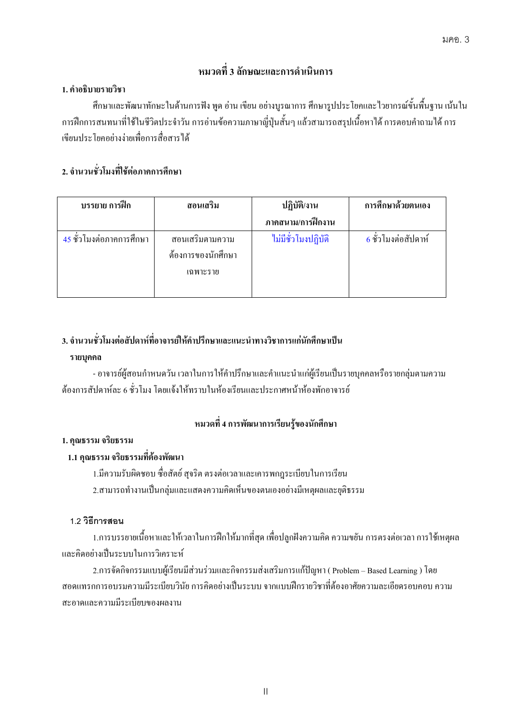# ิ หมวดที่ 3 ลักษณะและการดำเนินการ

### 1. คำอธิบายรายวิชา

ศึกษาและพัฒนาทักษะในด้านการฟัง พูด อ่าน เขียน อย่างบูรณาการ ศึกษารูปประโยคและไวยากรณ์ขั้นพื้นฐาน เน้นใน การฝึกการสนทนาที่ใช้ในชีวิตประจำวัน การอ่านข้อความภาษาญี่ปุ่นสั้นๆ แล้วสามารถสรุปเนื้อหาได้ การตอบคำถามได้ การ ี่เขียนประโยคอย่างง่ายเพื่อการสื่อสารได้

# 2. จำนวนชั่วโมงที่ใช้ต่อภาคการศึกษา

| บรรยาย การฝึก            | สอนเสริม           | ปฏิบัติ/งาน         | การศึกษาด้วยตนเอง     |
|--------------------------|--------------------|---------------------|-----------------------|
|                          |                    | ภาคสนาม/การฝึกงาน   |                       |
| 45 ชั่วโมงต่อภาคการศึกษา | สอนเสริมตามความ    | ไม่มีชั่วโมงปฏิบัติ | ้ 6 ชั่วโมงต่อสัปดาห์ |
|                          | ต้องการของนักศึกษา |                     |                       |
|                          | เฉพาะราย           |                     |                       |
|                          |                    |                     |                       |

# 3. จำนวนชั่วโมงต่อสัปดาห์ที่อาจารย์ให้คำปรึกษาและแนะนำทางวิชาการแก่นักศึกษาเป็น

### **-**

- อาจารย์ผู้สอนกำหนดวัน เวลาในการให้คำปรึกษาและคำแนะนำแก่ผู้เรียนเป็นรายบุคคลหรือรายกลุ่มตามความ ต้องการสัปดาห์ละ 6 ชั่วโมง โดยแจ้งให้ทราบในห้องเรียนและประกาศหน้าห้องพักอาจารย์

# หมวดที่ 4 การพัฒนาการเรียนรู้ของนักศึกษา

## 1. คุณธรรม จริยธรรม

### 1.1 คณธรรม จริยธรรมที่ต้องพัฒนา

1.มีความรับผิดชอบ ซื่อสัตย์ สุจริต ตรงต่อเวลาและเคารพกฎระเบียบในการเรียน 2.สามารถทำงานเป็นกลุ่มและแสดงความคิดเห็นของตนเองอย่างมีเหตุผลและยุติธรรม

### **1.2 ก**

1.การบรรยายเนื้อหาและให้เวลาในการฝึกให้มากที่สุด เพื่อปลูกฝังความคิด ความขยัน การตรงต่อเวลา การใช้เหตุผล และคิดอย่างเป็นระบบในการวิเคราะห์

2.การจัดกิจกรรมแบบผู้เรียนมีส่วนร่วมและกิจกรรมส่งเสริมการแก้ปัญหา ( Problem – Based Learning ) โดย สอดแทรกการอบรมความมีระเบียบวินัย การคิดอย่างเป็นระบบ จากแบบฝึกรายวิชาที่ต้องอาศัยความละเอียดรอบคอบ ความ สะอาคและความมีระเบียบของผลงาน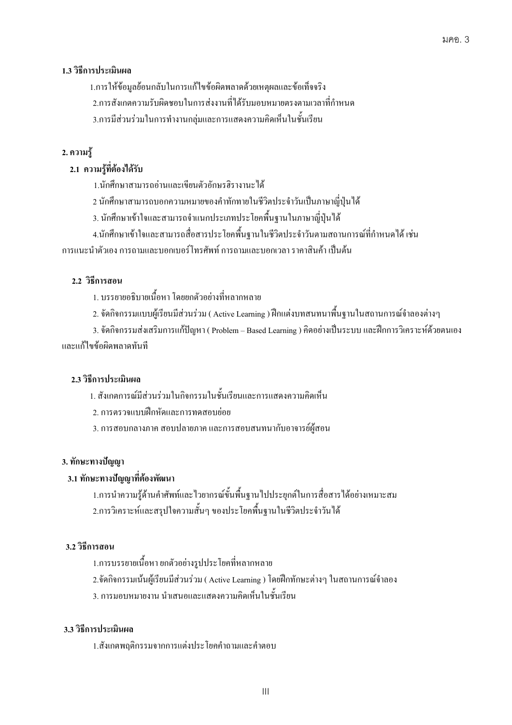### 1.3 วิธีการประเมินผล

1.การให้ข้อมูลย้อนกลับในการแก้ไขข้อผิดพลาดด้วยเหตุผลและข้อเท็จจริง

2.การสังเกตความรับผิดชอบในการส่งงานที่ได้รับมอบหมายตรงตามเวลาที่กำหนด

3.การมีส่วนร่วมในการทำงานกลุ่มและการแสดงความคิดเห็นในชั้นเรียน

# 2. ความรู้

# 2.1 ความรู้ที่ต้องได้รับ

- 1.นักศึกษาสามารถอ่านและเขียนตัวอักษรฮิรางานะ ได้
	- 2 นักศึกษาสามารถบอกความหมายของคำทักทายในชีวิตประจำวันเป็นภาษาญี่ปุ่น'ได้
- 3. นักศึกษาเข้าใจและสามารถจำแนกประเภทประโยคพื้นฐานในภาษาญี่ปุ่นได้
	- 4.นักศึกษาเข้าใจและสามารถสื่อสารประโยคพื้นฐานในชีวิตประจำวันตามสถานการณ์ที่กำหนดได้ เช่น

การแนะนำตัวเอง การถามและบอกเบอร์โทรศัพท์ การถามและบอกเวลา ราคาสินค้า เป็นต้น

# 2.2 วิธีการสอน

- 1. บรรยายอธิบายเนื้อหา โดยยกตัวอย่างที่หลากหลาย
	- 2. จัดกิจกรรมแบบผู้เรียนมีส่วนร่วม ( Active Learning ) ฝึกแต่งบทสนทนาพื้นฐานในสถานการณ์จำลองต่างๆ

3. จัดกิจกรรมส่งเสริมการแก้ปัญหา ( Problem – Based Learning ) คิดอย่างเป็นระบบ และฝึกการวิเคราะห์ด้วยตนเอง และแก้ไขข้อผิดพลาดทันที

# $\,$  2.3 วิธีการประเมินผล

- 1. สังเกตการณ์มีส่วนร่วมในกิจกรรมในชั้นเรียนและการแสดงกวามคิดเห็น
- 2. การตรวจแบบฝึกหัดและการทดสอบย่อย
- 3. การสอบกลางภาค สอบปลายภาค และการสอบสนทนากับอาจารย์ผู้สอน

### 3. ทักษะทางปัญญา

### ่ 3.1 ทักษะทางปัญญาที่ต้องพัฒนา

1.การนำความรู้ด้านคำศัพท์และไวยากรณ์ขั้นพื้นฐานไปประยุกต์ในการสื่อสารได้อย่างเหมาะสม 2.การวิเคราะห์และสรุปใจความสั้นๆ ของประโยคพื้นฐานในชีวิตประจำวันใด้

### $3.2$  วิธีการสอน

- 1.การบรรยายเนื้อหา ยกตัวอย่างรูปประ โยคที่หลากหลาย
	- 2.จัดกิจกรรมเน้นผู้เรียนมีส่วนร่วม ( Active Learning ) โดยฝึกทักษะต่างๆ ในสถานการณ์จำลอง
- 3. การมอบหมายงาน นำเสนอและแสดงความคิดเห็นในชั้นเรียน

#### $3.3$  วิธีการประเมินผล

1.สังเกตพฤติกรรมจากการแต่งประโยกกำถามและกำตอบ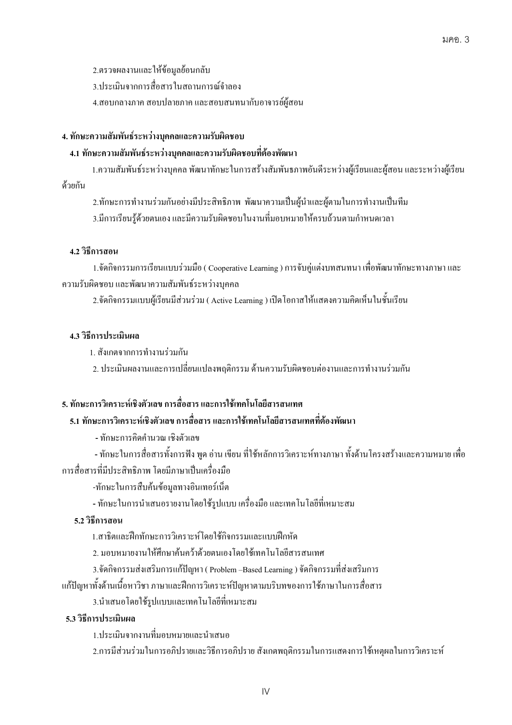2.ตรวจผลงานและให้ข้อมูลย้อนกลับ

3.ประเมินจากการสื่อสารในสถานการณ์จำลอง

4.สอบกลางภาค สอบปลายภาค และสอบสนทนากับอาจารย์ผู้สอน

### 4. ทักษะความสัมพันธ์ระหว่างบุคคลและความรับผิดชอบ

# – 4.1 ทักษะความสัมพันธ์ระหว่างบุคคลและความรับผิดชอบที่ต้องพัฒนา

1.ความสัมพันธ์ระหว่างบุคคล พัฒนาทักษะในการสร้างสัมพันธภาพอันดีระหว่างผู้เรียนและผู้สอน และระหว่างผู้เรียน ค้วยกัน

2.ทักษะการทำงานร่วมกันอย่างมีประสิทธิภาพ พัฒนาความเป็นผู้นำและผู้ตามในการทำงานเป็นทีม 3.มีการเรียนรู้ด้วยตนเอง และมีความรับผิดชอบในงานที่มอบหมายให้ครบถ้วนตามกำหนดเวลา

## $\,$  4.2 วิธีการสอน

1.จัดกิจกรรมการเรียนแบบร่วมมือ ( Cooperative Learning ) การจับคู่แต่งบทสนทนา เพื่อพัฒนาทักษะทางภาษา และ ความรับผิดชอบ และพัฒนาความสัมพันธ์ระหว่างบุคคล

2.จัดกิจกรรมแบบผู้เรียนมีส่วนร่วม ( Active Learning ) เปิดโอกาสให้แสดงความคิดเห็นในชั้นเรียน

## 4.3 วิธีการประเมินผล

1. สังเกตจากการทำงานร่วมกัน

2. ประเมินผลงานและการเปลี่ยนแปลงพฤติกรรม ด้านความรับผิดชอบต่องานและการทำงานร่วมกัน

# 5. ทักษะการวิเคราะห์เชิงตัวเลข การสื่อสาร และการใช้เทคโนโลยีสารสนเทศ

# $-$  5.1 ทักษะการวิเคราะห์เชิงตัวเลข การสื่อสาร และการใช้เทคโนโลยีสารสนเทศที่ต้องพัฒนา

- ทักษะการคิดคำนวณ เชิงตัวเลข

- ทักษะในการสื่อสารทั้งการฟัง พูด อ่าน เขียน ที่ใช้หลักการวิเคราะห์ทางภาษา ทั้งด้านโครงสร้างและความหมาย เพื่อ การสื่อสารที่มีประสิทธิภาพ โดยมีภาษาเป็นเครื่องมือ

-ทักษะในการสืบค้นข้อมูลทางอินเทอร์เน็ต

- ทักษะในการนำเสนอรายงานโดยใช้รูปแบบ เครื่องมือ และเทคโนโลขีที่เหมาะสม

# $\bf 5.2$  วิธีการสอน

1.สาธิตและฝึกทักษะการวิเคราะห์โดยใช้กิจกรรมและแบบฝึกหัด

2. มอบหมายงานให้ศึกษาค้นคว้าด้วยตนเองโดยใช้เทคโนโลยีสารสนเทศ

3.จัดกิจกรรมส่งเสริมการแก้ปัญหา ( Problem –Based Learning ) จัดกิจกรรมที่ส่งเสริมการ

แก้ปัญหาทั้งด้านเนื้อหาวิชา ภาษาและฝึกการวิเคราะห์ปัญหาตามบริบทของการใช้ภาษาในการสื่อสาร

3.นำเสนอโดยใช้รูปแบบและเทคโนโลขีที่เหมาะสม

# $-$  **5.3** วิธีการประเมินผล

1.ประเมินจากงานที่มอบหมายและนำเสนอ

2.การมีส่วนร่วมในการอภิปรายและวิธีการอภิปราย สังเกตพฤติกรรมในการแสดงการใช้เหตุผลในการวิเคราะห์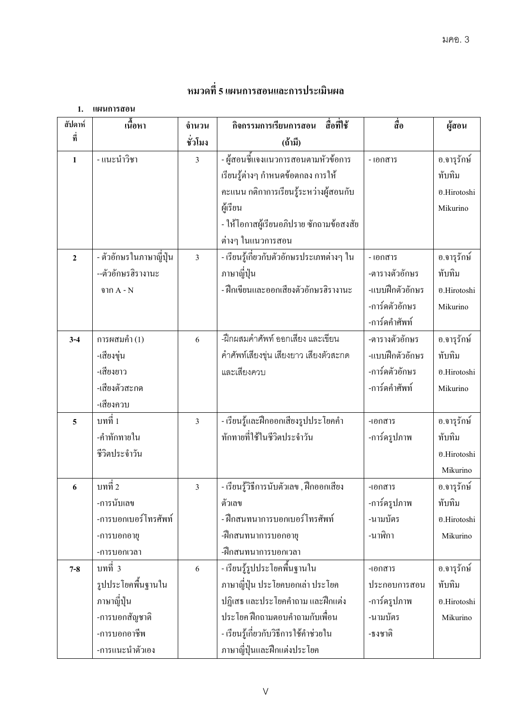# หมวดที่ 5 แผนการสอนและการประเมินผล

1. **แผนการสอน** 

| สัปดาห์        | เนื้อหา                 | จำนวน          | กิจกรรมการเรียนการสอน<br>สื่อที่ใช้       | สื่อ            | ผู้สอน      |
|----------------|-------------------------|----------------|-------------------------------------------|-----------------|-------------|
| ที่            |                         | ชั่วโมง        | (ถ้ำมิ่)                                  |                 |             |
| $\mathbf{1}$   | - แนะนำวิชา             | 3              | - ผู้สอนชี้แจงแนวการสอนตามหัวข้อการ       | - เอกสาร        | อ.จารุรักษ์ |
|                |                         |                | เรียนรู้ต่างๆ กำหนดข้อตกลง การให้         |                 | ทับทิม      |
|                |                         |                | คะแนน กติกาการเรียนรู้ระหว่างผู้สอนกับ    |                 | อ.Hirotoshi |
|                |                         |                | ผู้เรียน                                  |                 | Mikurino    |
|                |                         |                | - ให้โอกาสผู้เรียนอภิปราย ซักถามข้อสงสัย  |                 |             |
|                |                         |                | ต่างๆ ในแนวการสอน                         |                 |             |
| $\overline{2}$ | - ตัวอักษรในภาษาญี่ปุ่น | $\overline{3}$ | - เรียนรู้เกี่ยวกับตัวอักษรประเภทต่างๆ ใน | - เอกสาร        | อ.จารุรักษ์ |
|                | --ตัวอักษรฮิรางานะ      |                | ภาษาญี่ปุ่น                               | -ตารางตัวอักษร  | ทับทิม      |
|                | จาก $A - N$             |                | - ฝึกเขียนและออกเสียงตัวอักษรฮิรางานะ     | -แบบฝึกตัวอักษร | อ.Hirotoshi |
|                |                         |                |                                           | -การ์ดตัวอักษร  | Mikurino    |
|                |                         |                |                                           | -การ์ดคำศัพท์   |             |
| $3 - 4$        | การผสมคำ $(1)$          | 6              | -ฝึกผสมคำศัพท์ ออกเสียง และเขียน          | -ตารางตัวอักษร  | อ.จารุรักษ์ |
|                | -เสียงขุ่น              |                | คำศัพท์เสียงขุ่น เสียงยาว เสียงตัวสะกด    | -แบบฝึกตัวอักษร | ทับทิม      |
|                | -เสียงยาว               |                | และเสียงควบ                               | -การ์ดตัวอักษร  | อ.Hirotoshi |
|                | -เสียงตัวสะกด           |                |                                           | -การ์ดคำศัพท์   | Mikurino    |
|                | -เสียงควบ               |                |                                           |                 |             |
| 5              | บทที่ 1                 | $\overline{3}$ | - เรียนรู้และฝึกออกเสียงรูปประ โยคคำ      | -เอกสาร         | อ.จารุรักษ์ |
|                | -คำทักทายใน             |                | ทักทายที่ใช้ในชีวิตประจำวัน               | -การ์ครูปภาพ    | ทับทิม      |
|                | ชีวิตประจำวัน           |                |                                           |                 | อ.Hirotoshi |
|                |                         |                |                                           |                 | Mikurino    |
| 6              | บทที่ 2                 | $\overline{3}$ | - เรียนรู้วิธีการนับตัวเลข , ฝึกออกเสียง  | -เอกสาร         | อ.จารุรักษ์ |
|                | -การนับเลข              |                | ตัวเลข                                    | -การ์ครูปภาพ    | ทับทิม      |
|                | -การบอกเบอร์โทรศัพท์    |                | - ฝึกสนทนาการบอกเบอร์โทรศัพท์             | -นามบัตร        | อ.Hirotoshi |
|                | -การบอกอายุ             |                | -ฝึกสนทนาการบอกอายุ                       | -นาฬิกา         | Mikurino    |
|                | -การบอกเวลา             |                | -ฝึกสนทนาการบอกเวลา                       |                 |             |
| $7 - 8$        | บทที่ 3                 | 6              | - เรียนรู้รูปประโยคพื้นฐานใน              | -เอกสาร         | อ.จารุรักษ์ |
|                | รูปประโยคพื้นฐานใน      |                | ภาษาญี่ปุ่น ประโยคบอกเล่า ประโยค          | ประกอบการสอน    | ทับทิม      |
|                | ภาษาญี่ปุ่น             |                | ปฏิเสธ และประโยคคำถาม และฝึกแต่ง          | -การ์ครูปภาพ    | อ.Hirotoshi |
|                | -การบอกสัญชาติ          |                | ประโยค ฝึกถามตอบคำถามกับเพื่อน            | -นามบัตร        | Mikurino    |
|                | -การบอกอาชีพ            |                | - เรียนรู้เกี่ยวกับวิธีการใช้คำช่วยใน     | -ธงชาติ         |             |
|                | -การแนะนำตัวเอง         |                | ภาษาญี่ปุ่นและฝึกแต่งประโยค               |                 |             |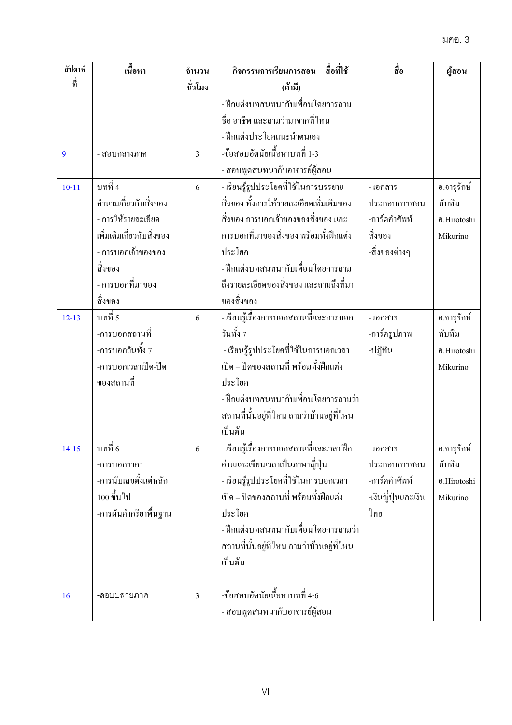| สัปดาห์   | เนื้อหา                   | จำนวน         | กิจกรรมการเรียนการสอน<br>สื่อที่ใช้         | สื่อ                | ผู้สอน      |
|-----------|---------------------------|---------------|---------------------------------------------|---------------------|-------------|
| ที่       |                           | ชั่วโมง       | (ถ้ำมี)                                     |                     |             |
|           |                           |               | - ฝึกแต่งบทสนทนากับเพื่อนโดยการถาม          |                     |             |
|           |                           |               | ชื่อ อาชีพ และถามว่ามาจากที่ไหน             |                     |             |
|           |                           |               | - ฝึกแต่งประโยคแนะนำตนเอง                   |                     |             |
| 9         | - สอบกลางภาค              | 3             | -ข้อสอบอัตนัยเนื้อหาบทที่ 1-3               |                     |             |
|           |                           |               | - สอบพูดสนทนากับอาจารย์ผู้สอน               |                     |             |
| $10 - 11$ | บทที่ 4                   | 6             | - เรียนรู้รูปประโยคที่ใช้ในการบรรยาย        | - เอกสาร            | อ.จารุรักษ์ |
|           | คำนามเกี่ยวกับสิ่งของ     |               | สิ่งของ ทั้งการให้รายละเอียดเพิ่มเติมของ    | ประกอบการสอน        | ทับทิม      |
|           | - การให้รายละเอียด        |               | ้สิ่งของ การบอกเจ้าของของสิ่งของ และ        | -การ์ดคำศัพท์       | อ.Hirotoshi |
|           | เพิ่มเติมเกี่ยวกับสิ่งของ |               | ึการบอกที่มาของสิ่งของ พร้อมทั้งฝึกแต่ง     | สิ่งของ             | Mikurino    |
|           | - การบอกเจ้าของของ        |               | ประโยค                                      | -สิ่งของต่างๆ       |             |
|           | สิ่งของ                   |               | - ฝึกแต่งบทสนทนากับเพื่อนโดยการถาม          |                     |             |
|           | - การบอกที่มาของ          |               | ถึงรายละเอียดของสิ่งของ และถามถึงที่มา      |                     |             |
|           | สิ่งของ                   |               | ของสิ่งของ                                  |                     |             |
| $12 - 13$ | บทที่ 5                   | 6             | - เรียนรู้เรื่องการบอกสถานที่และการบอก      | - เอกสาร            | อ.จารุรักษ์ |
|           | -การบอกสถานที่            |               | วันทั้ง 7                                   | -การ์ครูปภาพ        | ทับทิม      |
|           | -การบอกวันทั้ง 7          |               | - เรียนรู้รูปประโยคที่ใช้ในการบอกเวลา       | -ปฏิทิน             | อ.Hirotoshi |
|           | -การบอกเวลาเปิด-ปิด       |               | เปิด – ปิดของสถานที่ พร้อมทั้งฝึกแต่ง       |                     | Mikurino    |
|           | ของสถานที่                |               | ประโยค                                      |                     |             |
|           |                           |               | - ฝึกแต่งบทสนทนากับเพื่อนโดยการถามว่า       |                     |             |
|           |                           |               | ิสถานที่นั้นอยู่ที่ไหน ถามว่าบ้านอยู่ที่ไหน |                     |             |
|           |                           |               | เป็นต้น                                     |                     |             |
| $14 - 15$ | บทที่ 6                   | $\mathfrak b$ | - เรียนรู้เรื่องการบอกสถานที่และเวลา ฝึก    | - เอกสาร            | อ.จารุรักษ์ |
|           | -การบอกราคา               |               | อ่านและเขียนเวลาเป็นภาษาญี่ปุ่น             | ประกอบการสอน        | ทับทิม      |
|           | -การนับเลขตั้งแต่หลัก     |               | - เรียนรู้รูปประโยคที่ใช้ในการบอกเวลา       | -การ์ดคำศัพท์       | อ.Hirotoshi |
|           | 100 ขึ้นไป                |               | เปิด – ปิดของสถานที่ พร้อมทั้งฝึกแต่ง       | -เงินญี่ปุ่นและเงิน | Mikurino    |
|           | -การผันคำกริยาพื้นฐาน     |               | ประโยค                                      | ไทย                 |             |
|           |                           |               | - ฝึกแต่งบทสนทนากับเพื่อนโดยการถามว่า       |                     |             |
|           |                           |               | ิสถานที่นั้นอยู่ที่ไหน ถามว่าบ้านอยู่ที่ไหน |                     |             |
|           |                           |               | เป็นต้น                                     |                     |             |
| 16        | -สอบปลายภาค               | 3             | -ข้อสอบอัตนัยเนื้อหาบทที่ 4-6               |                     |             |
|           |                           |               | - สอบพูดสนทนากับอาจารย์ผู้สอน               |                     |             |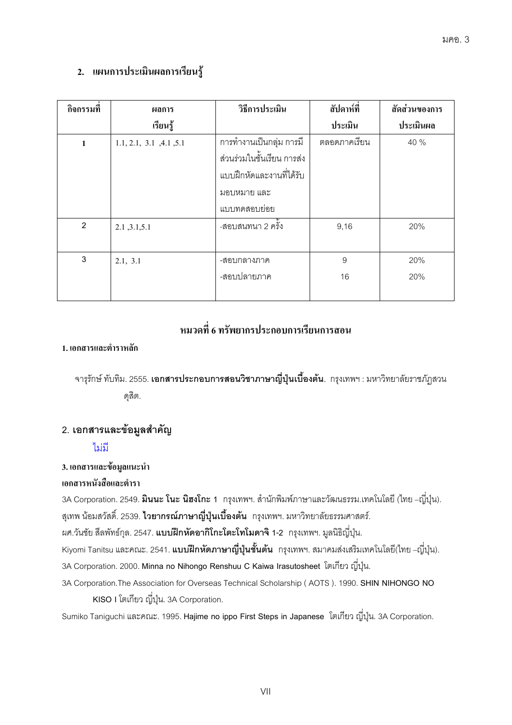# 2. แผนการประเมินผลการเรียนรู้

| กิจกรรมที      | ผลการ                   | วิธีการประเมิน             | สัปดาห์ที่     | สัดส่วนของการ |
|----------------|-------------------------|----------------------------|----------------|---------------|
|                | เรียนรู้                |                            | ประเมิน        | ประเมินผล     |
| 1              | 1.1, 2.1, 3.1, 4.1, 5.1 | การทำงานเป็นกลุ่ม การมี    | ตลอดภาคเรียน   | 40 %          |
|                |                         | ส่วนร่วมในชั้นเรียน การส่ง |                |               |
|                |                         | แบบฝึกหัดและงานที่ได้รับ   |                |               |
|                |                         | มอบหมาย และ                |                |               |
|                |                         | แบบทดสอบย่อย               |                |               |
| $\overline{2}$ | 2.1, 3.1, 5.1           | -สอบสนทนา 2 ครั้ง          | 9,16           | 20%           |
|                |                         |                            |                |               |
| 3              | 2.1, 3.1                | -สอบกลางภาค                | $\overline{9}$ | 20%           |
|                |                         | -สอบปลายภาค                | 16             | 20%           |
|                |                         |                            |                |               |

# หมวดที่ 6 ทรัพยากรประกอบการเรียนการสอน

#### 1. เอกสารและตำราหลัก

ึ จารุรักษ์ ทับทิม. 2555. **เอกสารประกอบการสอนวิชาภาษาญี่ปุ่นเบื้องต้น**. กรุงเทพฯ : มหาวิทยาลัยราชภัฏสวน ดุสิต.

# 2. เอกสารและข้อมูลสำคัญ

#### ไม่มี

#### 3. เอกสารและข้อมูลแนะนำ

#### เอกสารหนังสือและตำรา

3A Corporation. 2549. **มินนะ โนะ นิฮงโกะ 1** กรุงเทพฯ. สำนักพิมพ์ภาษาและวัฒนธรรม.เทคโนโลยี (ไทย –ญี่ปุ่น). สุเทพ น้อมสวัสดิ์. 2539. **ไวยากรณ์ภาษาญี่ปุ่นเบื้องต้น** กรุงเทพฯ. มหาวิทยาลัยธรรมศาสตร์.

ี ผศ.วันชัย สีลพัทธ์กุล. 2547. **แบบฝึกหัดอากิโกะโตะโทโมดาจิ 1-2** กรุงเทพฯ. มูลนิธิญี่ปุ่น.

Kiyomi Tanitsu และคณะ. 2541. **แบบฝึกหัดภาษาญี่ปุ่นชั้นต้น** กรุงเทพฯ. สมาคมส่งเสริมเทคโนโลยี(ไทย –ญี่ปุ่น).

3A Corporation. 2000. Minna no Nihongo Renshuu C Kaiwa Irasutosheet โตเกียว ญี่ปุ่น.

3A Corporation. The Association for Overseas Technical Scholarship (AOTS). 1990. SHIN NIHONGO NO KISO I โตเกียว ญี่ปุ่น. 3A Corporation.

Sumiko Taniguchi และคณะ. 1995. Hajime no ippo First Steps in Japanese โตเกียว ญี่ปุ่น. 3A Corporation.